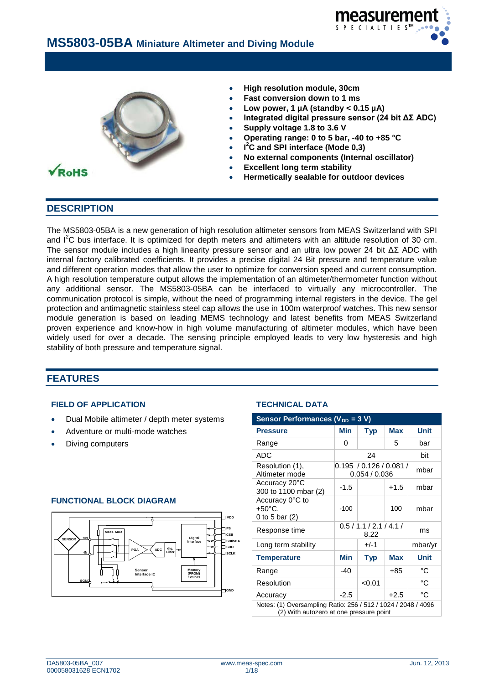

# **MS5803-05BA Miniature Altimeter and Diving Module**



- **High resolution module, 30cm**
- **Fast conversion down to 1 ms**
- **Low power, 1 µA (standby < 0.15 µA)**
- **Integrated digital pressure sensor (24 bit ΔΣ ADC)**
- **Supply voltage 1.8 to 3.6 V**
- **Operating range: 0 to 5 bar, -40 to +85 °C**
- **I 2 C and SPI interface (Mode 0,3)**
	- **No external components (Internal oscillator)**
- **Excellent long term stability**
- **Hermetically sealable for outdoor devices**

#### **DESCRIPTION**

 $\sqrt{\text{RoHS}}$ 

The MS5803-05BA is a new generation of high resolution altimeter sensors from MEAS Switzerland with SPI and  $I^2C$  bus interface. It is optimized for depth meters and altimeters with an altitude resolution of 30 cm. The sensor module includes a high linearity pressure sensor and an ultra low power 24 bit  $\Delta\Sigma$  ADC with internal factory calibrated coefficients. It provides a precise digital 24 Bit pressure and temperature value and different operation modes that allow the user to optimize for conversion speed and current consumption. A high resolution temperature output allows the implementation of an altimeter/thermometer function without any additional sensor. The MS5803-05BA can be interfaced to virtually any microcontroller. The communication protocol is simple, without the need of programming internal registers in the device. The gel protection and antimagnetic stainless steel cap allows the use in 100m waterproof watches. This new sensor module generation is based on leading MEMS technology and latest benefits from MEAS Switzerland proven experience and know-how in high volume manufacturing of altimeter modules, which have been widely used for over a decade. The sensing principle employed leads to very low hysteresis and high stability of both pressure and temperature signal.

### **FEATURES**

#### **FIELD OF APPLICATION TECHNICAL DATA**

- **Dual Mobile altimeter / depth meter systems**
- Adventure or multi-mode watches **Pressure Min Typ Max Unit**
- Diving computers

#### **FUNCTIONAL BLOCK DIAGRAM**



| Sensor Performances ( $V_{DD}$ = 3 V)                         |            |                                                            |            |             |  |  |  |  |  |  |  |  |  |
|---------------------------------------------------------------|------------|------------------------------------------------------------|------------|-------------|--|--|--|--|--|--|--|--|--|
| <b>Pressure</b>                                               | <b>Min</b> | <b>Typ</b>                                                 | <b>Max</b> | <b>Unit</b> |  |  |  |  |  |  |  |  |  |
| Range                                                         | 0          |                                                            | 5          | bar         |  |  |  |  |  |  |  |  |  |
| <b>ADC</b>                                                    |            | 24                                                         |            | bit         |  |  |  |  |  |  |  |  |  |
| Resolution (1),<br>Altimeter mode                             |            | $ 0.195\;$ / 0.126 / 0.081 $\mathrm{\AA}$<br>0.054 / 0.036 |            |             |  |  |  |  |  |  |  |  |  |
| Accuracy 20°C<br>300 to 1100 mbar (2)                         | $-1.5$     |                                                            | $+1.5$     | mbar        |  |  |  |  |  |  |  |  |  |
| Accuracy 0°C to<br>$+50^{\circ}$ C.<br>0 to 5 bar $(2)$       | $-100$     |                                                            | 100        | mbar        |  |  |  |  |  |  |  |  |  |
| Response time                                                 |            | 0.5/1.1/2.1/4.1/<br>8.22                                   |            | ms          |  |  |  |  |  |  |  |  |  |
| Long term stability                                           |            | $+/-1$                                                     |            | mbar/yr     |  |  |  |  |  |  |  |  |  |
| <b>Temperature</b>                                            | <b>Min</b> | <b>Typ</b>                                                 | <b>Max</b> | <b>Unit</b> |  |  |  |  |  |  |  |  |  |
| Range                                                         | $-40$      |                                                            | +85        | °C          |  |  |  |  |  |  |  |  |  |
| Resolution                                                    |            | < 0.01                                                     |            | °C          |  |  |  |  |  |  |  |  |  |
| Accuracy                                                      | $-2.5$     |                                                            | $+2.5$     | °C          |  |  |  |  |  |  |  |  |  |
| Notes: (1) Oversampling Ratio: 256 / 512 / 1024 / 2048 / 4096 |            |                                                            |            |             |  |  |  |  |  |  |  |  |  |

(2) With autozero at one pressure point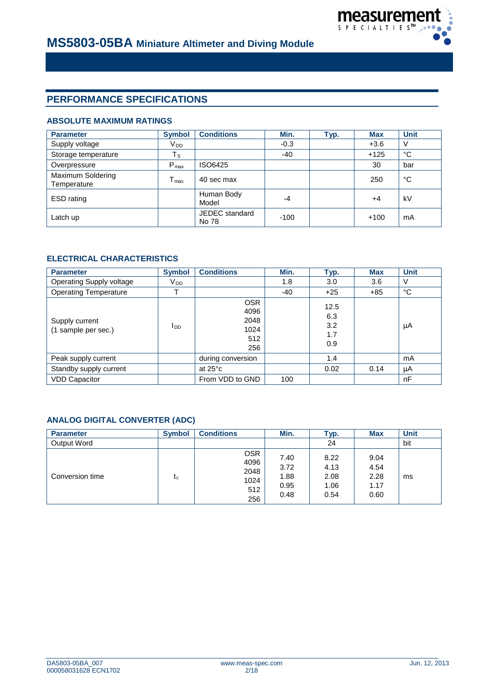

# **PERFORMANCE SPECIFICATIONS**

### **ABSOLUTE MAXIMUM RATINGS**

| <b>Parameter</b>                 | <b>Symbol</b>               | <b>Conditions</b>       | Min.   | Typ. | <b>Max</b> | <b>Unit</b> |
|----------------------------------|-----------------------------|-------------------------|--------|------|------------|-------------|
| Supply voltage                   | $V_{DD}$                    |                         | $-0.3$ |      | $+3.6$     | V           |
| Storage temperature              | $T_{\rm S}$                 |                         | -40    |      | $+125$     | °C          |
| Overpressure                     | $P_{max}$                   | ISO6425                 |        |      | 30         | bar         |
| Maximum Soldering<br>Temperature | $\mathsf{T}_{\mathsf{max}}$ | 40 sec max              |        |      | 250        | °C          |
| ESD rating                       |                             | Human Body<br>Model     | -4     |      | +4         | kV          |
| Latch up                         |                             | JEDEC standard<br>No 78 | $-100$ |      | $+100$     | mA          |

#### **ELECTRICAL CHARACTERISTICS**

| <b>Parameter</b>                      | <b>Symbol</b>   | <b>Conditions</b>                                | Min.  | Typ.                             | <b>Max</b> | <b>Unit</b> |
|---------------------------------------|-----------------|--------------------------------------------------|-------|----------------------------------|------------|-------------|
| Operating Supply voltage              | V <sub>DD</sub> |                                                  | 1.8   | 3.0                              | 3.6        | V           |
| <b>Operating Temperature</b>          | ᠇               |                                                  | $-40$ | $+25$                            | $+85$      | °C          |
| Supply current<br>(1 sample per sec.) | l <sub>DD</sub> | <b>OSR</b><br>4096<br>2048<br>1024<br>512<br>256 |       | 12.5<br>6.3<br>3.2<br>1.7<br>0.9 |            | μA          |
| Peak supply current                   |                 | during conversion                                |       | 1.4                              |            | mA          |
| Standby supply current                |                 | at $25^{\circ}$ c                                |       | 0.02                             | 0.14       | μA          |
| <b>VDD Capacitor</b>                  |                 | From VDD to GND                                  | 100   |                                  |            | nF          |

#### **ANALOG DIGITAL CONVERTER (ADC)**

| <b>Parameter</b> | <b>Symbol</b> | <b>Conditions</b>                                | Min.                                 | Typ.                                 | <b>Max</b>                           | <b>Unit</b> |
|------------------|---------------|--------------------------------------------------|--------------------------------------|--------------------------------------|--------------------------------------|-------------|
| Output Word      |               |                                                  |                                      | 24                                   |                                      | bit         |
| Conversion time  | tc            | <b>OSR</b><br>4096<br>2048<br>1024<br>512<br>256 | 7.40<br>3.72<br>1.88<br>0.95<br>0.48 | 8.22<br>4.13<br>2.08<br>1.06<br>0.54 | 9.04<br>4.54<br>2.28<br>1.17<br>0.60 | ms          |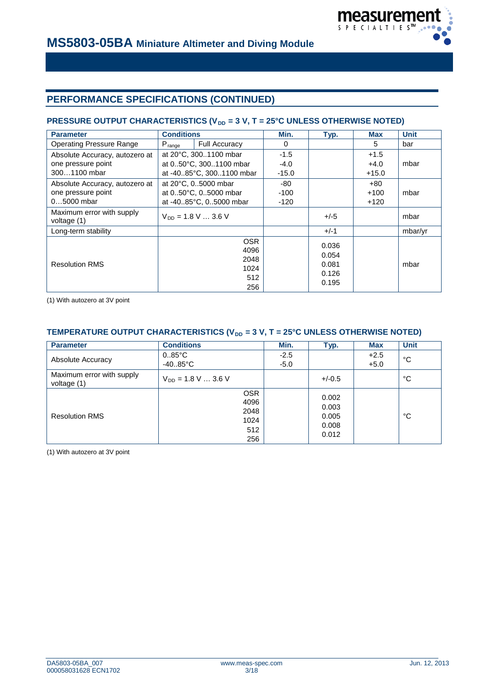

# **PERFORMANCE SPECIFICATIONS (CONTINUED)**

### **PRESSURE OUTPUT CHARACTERISTICS (V<sub>DD</sub> = 3 V, T = 25°C UNLESS OTHERWISE NOTED)**

| <b>Parameter</b>                         | <b>Conditions</b>  |                                                  | Min.    | Typ.                                      | <b>Max</b> | <b>Unit</b> |
|------------------------------------------|--------------------|--------------------------------------------------|---------|-------------------------------------------|------------|-------------|
| <b>Operating Pressure Range</b>          | $P_{\text{range}}$ | Full Accuracy                                    | 0       |                                           | 5          | bar         |
| Absolute Accuracy, autozero at           |                    | at 20°C, 3001100 mbar                            | $-1.5$  |                                           | $+1.5$     |             |
| one pressure point                       |                    | at 050°C, 3001100 mbar                           | $-4.0$  |                                           | $+4.0$     | mbar        |
| 3001100 mbar                             |                    | at -4085°C, 3001100 mbar                         | $-15.0$ |                                           | $+15.0$    |             |
| Absolute Accuracy, autozero at           |                    | at 20°C, 05000 mbar                              | -80     |                                           | $+80$      |             |
| one pressure point                       |                    | at 050°C, 05000 mbar                             | $-100$  |                                           | $+100$     | mbar        |
| $05000$ mbar                             |                    | at -4085°C, 05000 mbar                           | $-120$  |                                           | +120       |             |
| Maximum error with supply<br>voltage (1) |                    | $V_{DD} = 1.8 V  3.6 V$                          |         | $+/-5$                                    |            | mbar        |
| Long-term stability                      |                    |                                                  |         | $+/-1$                                    |            | mbar/yr     |
| <b>Resolution RMS</b>                    |                    | <b>OSR</b><br>4096<br>2048<br>1024<br>512<br>256 |         | 0.036<br>0.054<br>0.081<br>0.126<br>0.195 |            | mbar        |

(1) With autozero at 3V point

#### TEMPERATURE OUTPUT CHARACTERISTICS (V<sub>DD</sub> = 3 V, T = 25°C UNLESS OTHERWISE NOTED)

| <b>Parameter</b>                         | <b>Conditions</b>                                | Min.             | Typ.                                      | <b>Max</b>       | <b>Unit</b> |
|------------------------------------------|--------------------------------------------------|------------------|-------------------------------------------|------------------|-------------|
| Absolute Accuracy                        | $0.85^{\circ}$ C<br>$-40.85^{\circ}$ C           | $-2.5$<br>$-5.0$ |                                           | $+2.5$<br>$+5.0$ | °C          |
| Maximum error with supply<br>voltage (1) | $V_{DD} = 1.8 V  3.6 V$                          |                  | $+/-0.5$                                  |                  | °C          |
| <b>Resolution RMS</b>                    | <b>OSR</b><br>4096<br>2048<br>1024<br>512<br>256 |                  | 0.002<br>0.003<br>0.005<br>0.008<br>0.012 |                  | °C          |

(1) With autozero at 3V point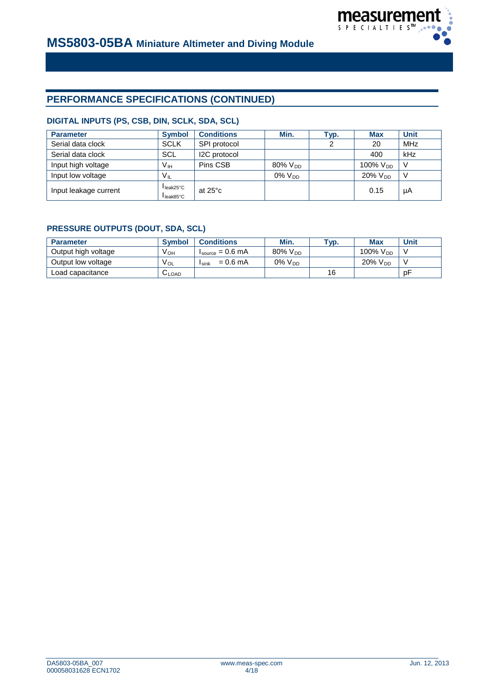

# **PERFORMANCE SPECIFICATIONS (CONTINUED)**

## **DIGITAL INPUTS (PS, CSB, DIN, SCLK, SDA, SCL)**

| <b>Parameter</b>      | <b>Symbol</b>                | <b>Conditions</b>   | Min.            | Typ. | <b>Max</b>       | <b>Unit</b>  |
|-----------------------|------------------------------|---------------------|-----------------|------|------------------|--------------|
| Serial data clock     | <b>SCLK</b>                  | SPI protocol        |                 |      | 20               | MHz          |
| Serial data clock     | SCL                          | <b>I2C</b> protocol |                 |      | 400              | kHz          |
| Input high voltage    | Vн                           | Pins CSB            | $80\%$ $V_{DD}$ |      | $100\%$ $V_{DD}$ | - V          |
| Input low voltage     | $V_{IL}$                     |                     | $0\%$ $V_{DD}$  |      | $20\%$ $V_{DD}$  | <sup>V</sup> |
| Input leakage current | $I$ leak25 $°C$<br>lleak85°C | at $25^{\circ}$ c   |                 |      | 0.15             | μA           |

#### **PRESSURE OUTPUTS (DOUT, SDA, SCL)**

| <b>Parameter</b>    | <b>Symbol</b> | <b>Conditions</b>             | Min.                   | Vp. | <b>Max</b>          | <b>Unit</b> |
|---------------------|---------------|-------------------------------|------------------------|-----|---------------------|-------------|
| Output high voltage | $V_{OH}$      | $I_{source} = 0.6 \text{ mA}$ | $80\%$ V <sub>DD</sub> |     | 100% $V_{DD}$       |             |
| Output low voltage  | $V_{OL}$      | $= 0.6$ mA<br><b>I</b> sink   | $0\%$ $V_{DD}$         |     | 20% V <sub>DD</sub> |             |
| Load capacitance    | U LOAD        |                               |                        | 16  |                     | рF          |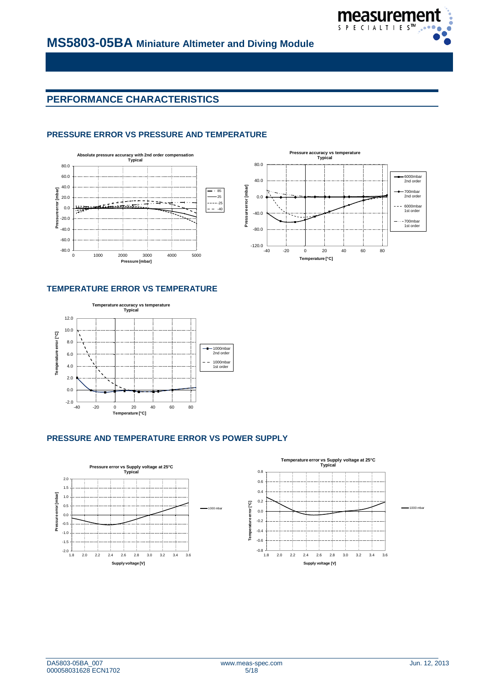

# **PERFORMANCE CHARACTERISTICS**

### **PRESSURE ERROR VS PRESSURE AND TEMPERATURE**





#### **TEMPERATURE ERROR VS TEMPERATURE**



## **PRESSURE AND TEMPERATURE ERROR VS POWER SUPPLY**

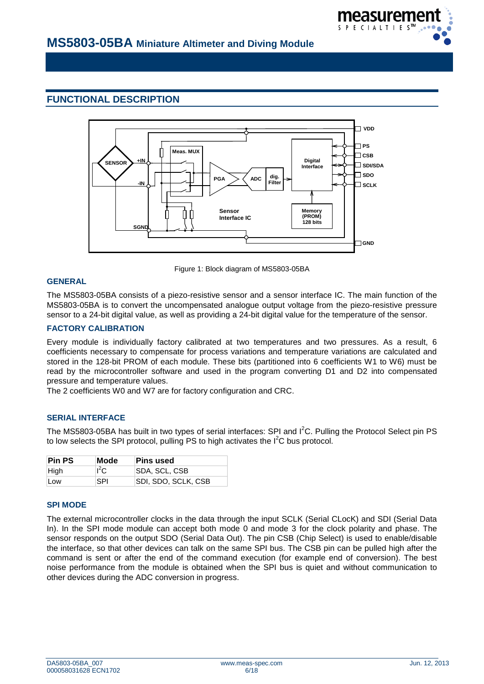

## **FUNCTIONAL DESCRIPTION**



Figure 1: Block diagram of MS5803-05BA

#### **GENERAL**

The MS5803-05BA consists of a piezo-resistive sensor and a sensor interface IC. The main function of the MS5803-05BA is to convert the uncompensated analogue output voltage from the piezo-resistive pressure sensor to a 24-bit digital value, as well as providing a 24-bit digital value for the temperature of the sensor.

#### **FACTORY CALIBRATION**

Every module is individually factory calibrated at two temperatures and two pressures. As a result, 6 coefficients necessary to compensate for process variations and temperature variations are calculated and stored in the 128-bit PROM of each module. These bits (partitioned into 6 coefficients W1 to W6) must be read by the microcontroller software and used in the program converting D1 and D2 into compensated pressure and temperature values.

The 2 coefficients W0 and W7 are for factory configuration and CRC.

#### **SERIAL INTERFACE**

The MS5803-05BA has built in two types of serial interfaces: SPI and I<sup>2</sup>C. Pulling the Protocol Select pin PS to low selects the SPI protocol, pulling PS to high activates the I $^2$ C bus protocol.

| <b>Pin PS</b> | Mode   | Pins used           |
|---------------|--------|---------------------|
| High          | $I^2C$ | SDA, SCL, CSB       |
| <b>Low</b>    | SPI    | SDI, SDO, SCLK, CSB |

#### **SPI MODE**

The external microcontroller clocks in the data through the input SCLK (Serial CLocK) and SDI (Serial Data In). In the SPI mode module can accept both mode 0 and mode 3 for the clock polarity and phase. The sensor responds on the output SDO (Serial Data Out). The pin CSB (Chip Select) is used to enable/disable the interface, so that other devices can talk on the same SPI bus. The CSB pin can be pulled high after the command is sent or after the end of the command execution (for example end of conversion). The best noise performance from the module is obtained when the SPI bus is quiet and without communication to other devices during the ADC conversion in progress.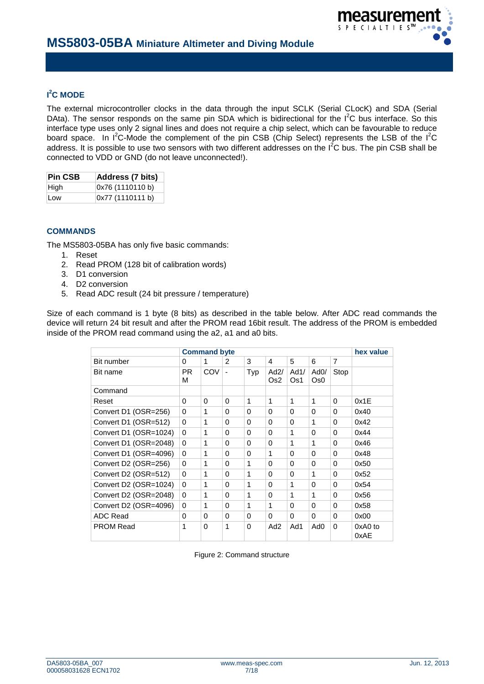

# **I 2 C MODE**

The external microcontroller clocks in the data through the input SCLK (Serial CLocK) and SDA (Serial DAta). The sensor responds on the same pin SDA which is bidirectional for the  $I^2C$  bus interface. So this interface type uses only 2 signal lines and does not require a chip select, which can be favourable to reduce board space. In I<sup>2</sup>C-Mode the complement of the pin CSB (Chip Select) represents the LSB of the I<sup>2</sup>C address. It is possible to use two sensors with two different addresses on the  $I^2C$  bus. The pin CSB shall be connected to VDD or GND (do not leave unconnected!).

| <b>Pin CSB</b> | Address (7 bits) |
|----------------|------------------|
| High           | 0x76 (1110110 b) |
| Low            | 0x77 (1110111 b) |

#### **COMMANDS**

The MS5803-05BA has only five basic commands:

- 1. Reset
- 2. Read PROM (128 bit of calibration words)
- 3. D1 conversion
- 4. D2 conversion
- 5. Read ADC result (24 bit pressure / temperature)

Size of each command is 1 byte (8 bits) as described in the table below. After ADC read commands the device will return 24 bit result and after the PROM read 16bit result. The address of the PROM is embedded inside of the PROM read command using the a2, a1 and a0 bits.

|                       | <b>Command byte</b> | hex value       |          |                         |                 |                         |          |                |                   |
|-----------------------|---------------------|-----------------|----------|-------------------------|-----------------|-------------------------|----------|----------------|-------------------|
| Bit number            | 0                   | 1               | 2        | 3                       | 4               | 5                       | 6        | $\overline{7}$ |                   |
| Bit name              | PR.<br>м            | COV<br>Typ<br>٠ |          | Ad2/<br>Os <sub>2</sub> | Ad1/<br>Os1     | AdO/<br>Os <sub>0</sub> | Stop     |                |                   |
| Command               |                     |                 |          |                         |                 |                         |          |                |                   |
| Reset                 | 0                   | 0               | $\Omega$ | 1                       | 1               | 1                       | 1        | 0              | 0x1E              |
| Convert D1 (OSR=256)  | $\Omega$            | 1               | 0        | 0                       | 0               | 0                       | 0        | 0              | 0x40              |
| Convert D1 (OSR=512)  | 0                   | 1               | 0        | 0                       | $\Omega$        | 0                       | 1        | $\Omega$       | 0x42              |
| Convert D1 (OSR=1024) | 0                   | 1               | $\Omega$ | 0                       | $\Omega$        | 1                       | 0        | 0              | 0x44              |
| Convert D1 (OSR=2048) | 0                   | 1               | 0        | 0                       | 0               | 1                       | 1        | 0              | 0x46              |
| Convert D1 (OSR=4096) | 0                   | 1               | 0        | 0                       | 1               | $\Omega$                | $\Omega$ | $\Omega$       | 0x48              |
| Convert D2 (OSR=256)  | 0                   | 1               | $\Omega$ | 1                       | $\Omega$        | $\Omega$                | 0        | $\Omega$       | 0x50              |
| Convert D2 (OSR=512)  | $\Omega$            | 1               | 0        | 1                       | $\Omega$        | 0                       | 1        | 0              | 0x52              |
| Convert D2 (OSR=1024) | $\Omega$            | 1               | $\Omega$ | 1                       | $\Omega$        | 1                       | $\Omega$ | $\Omega$       | 0x54              |
| Convert D2 (OSR=2048) | 0                   | 1               | $\Omega$ | 1                       | $\Omega$        | 1                       | 1        | $\Omega$       | 0x56              |
| Convert D2 (OSR=4096) | 0                   | 1               | $\Omega$ | 1                       | 1               | $\Omega$                | $\Omega$ | $\Omega$       | 0x58              |
| ADC Read              | 0                   | 0               | $\Omega$ | 0                       | $\Omega$        | $\Omega$                | $\Omega$ | $\Omega$       | 0x00              |
| <b>PROM Read</b>      | 1                   | 0               | 1        | 0                       | Ad <sub>2</sub> | Ad1                     | Ad0      | $\Omega$       | $0xA0$ to<br>0xAE |

Figure 2: Command structure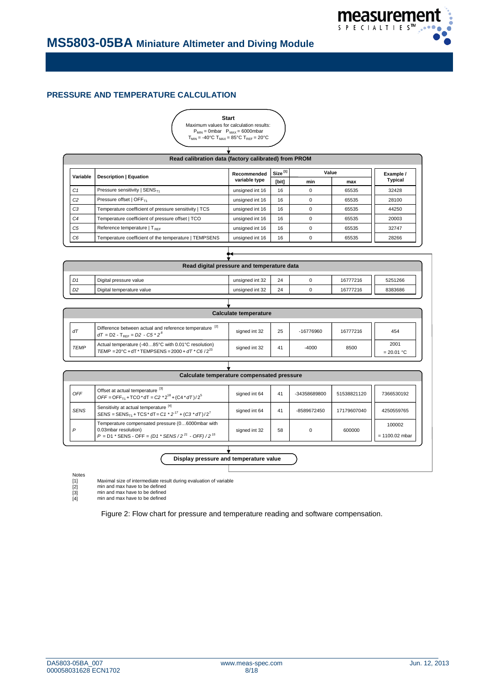

#### **PRESSURE AND TEMPERATURE CALCULATION**



Notes [1]<br>[2]<br>[3]<br>[4]

Maximal size of intermediate result during evaluation of variable

min and max have to be defined min and max have to be defined

min and max have to be defined

Figure 2: Flow chart for pressure and temperature reading and software compensation.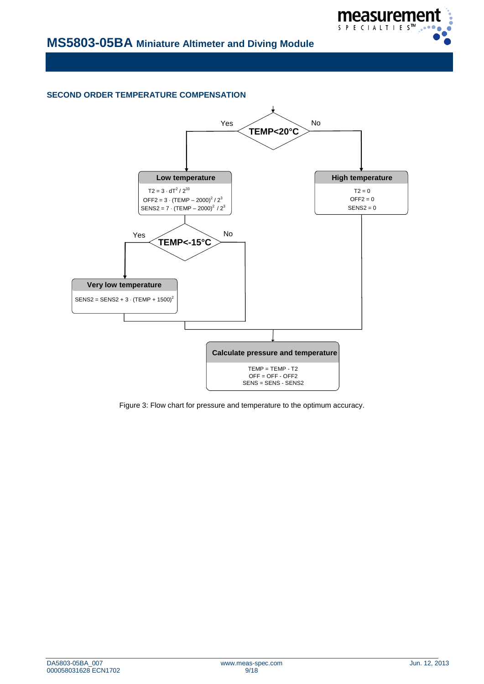

#### **SECOND ORDER TEMPERATURE COMPENSATION**



Figure 3: Flow chart for pressure and temperature to the optimum accuracy.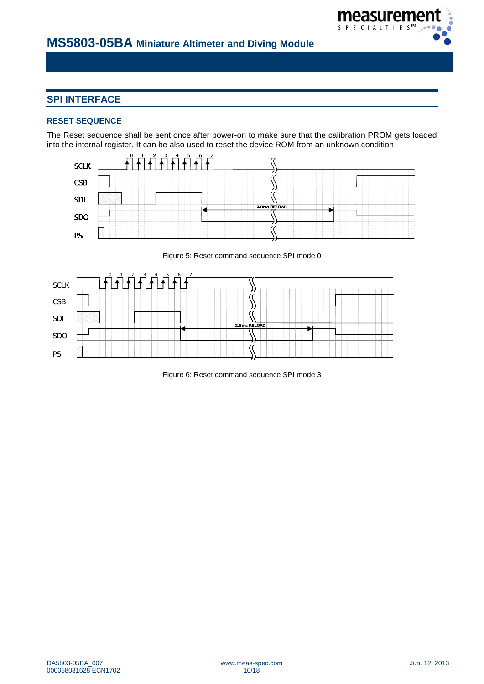

# **SPI INTERFACE**

#### **RESET SEQUENCE**

The Reset sequence shall be sent once after power-on to make sure that the calibration PROM gets loaded into the internal register. It can be also used to reset the device ROM from an unknown condition



Figure 5: Reset command sequence SPI mode 0



Figure 6: Reset command sequence SPI mode 3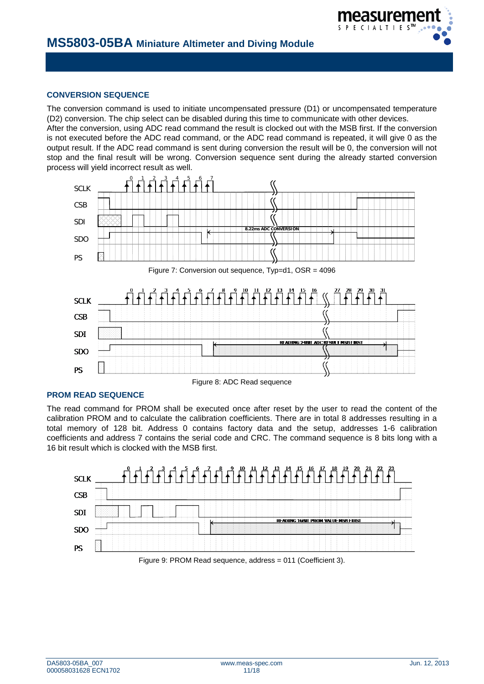

#### **CONVERSION SEQUENCE**

The conversion command is used to initiate uncompensated pressure (D1) or uncompensated temperature (D2) conversion. The chip select can be disabled during this time to communicate with other devices. After the conversion, using ADC read command the result is clocked out with the MSB first. If the conversion is not executed before the ADC read command, or the ADC read command is repeated, it will give 0 as the output result. If the ADC read command is sent during conversion the result will be 0, the conversion will not stop and the final result will be wrong. Conversion sequence sent during the already started conversion process will yield incorrect result as well.



#### **PROM READ SEQUENCE**

The read command for PROM shall be executed once after reset by the user to read the content of the calibration PROM and to calculate the calibration coefficients. There are in total 8 addresses resulting in a total memory of 128 bit. Address 0 contains factory data and the setup, addresses 1-6 calibration coefficients and address 7 contains the serial code and CRC. The command sequence is 8 bits long with a 16 bit result which is clocked with the MSB first.



Figure 9: PROM Read sequence, address = 011 (Coefficient 3).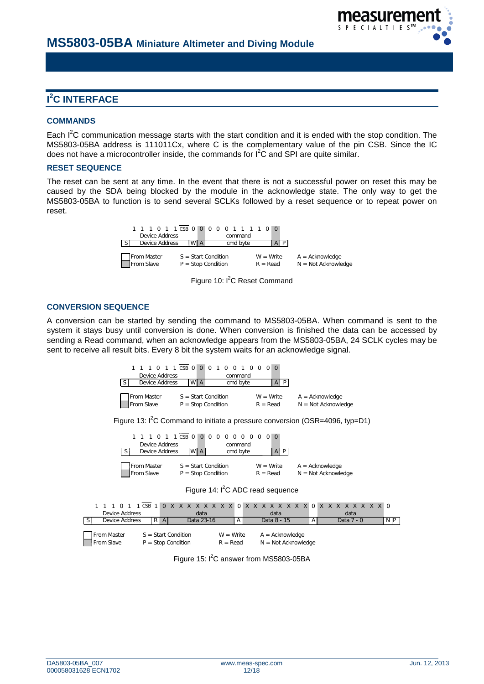# **I 2 C INTERFACE**

#### **COMMANDS**

Each I<sup>2</sup>C communication message starts with the start condition and it is ended with the stop condition. The MS5803-05BA address is 111011Cx, where C is the complementary value of the pin CSB. Since the IC does not have a microcontroller inside, the commands for  $I^2C$  and SPI are quite similar.

#### **RESET SEQUENCE**

The reset can be sent at any time. In the event that there is not a successful power on reset this may be caused by the SDA being blocked by the module in the acknowledge state. The only way to get the MS5803-05BA to function is to send several SCLKs followed by a reset sequence or to repeat power on reset.





#### **CONVERSION SEQUENCE**

A conversion can be started by sending the command to MS5803-05BA. When command is sent to the system it stays busy until conversion is done. When conversion is finished the data can be accessed by sending a Read command, when an acknowledge appears from the MS5803-05BA, 24 SCLK cycles may be sent to receive all result bits. Every 8 bit the system waits for an acknowledge signal.



Figure 13: I<sup>2</sup>C Command to initiate a pressure conversion (OSR=4096, typ=D1)



Figure 14: I<sup>2</sup>C ADC read sequence

|     | Device Address            |      |                                               | data       |                           |                |  | data                                       |  |  |     |  | data         |  |  |      |
|-----|---------------------------|------|-----------------------------------------------|------------|---------------------------|----------------|--|--------------------------------------------|--|--|-----|--|--------------|--|--|------|
| S I | Device Address            | RIAI |                                               | Data 23-16 |                           | $\overline{A}$ |  | Data 8 - 15                                |  |  | IAI |  | Data $7 - 0$ |  |  | N IP |
|     | From Master<br>From Slave |      | $S = Start Condition$<br>$P = Stop Condition$ |            | $W = Write$<br>$R = Read$ |                |  | $A = Acknowledge$<br>$N = Not Acknowledge$ |  |  |     |  |              |  |  |      |

Figure 15: I<sup>2</sup>C answer from MS5803-05BA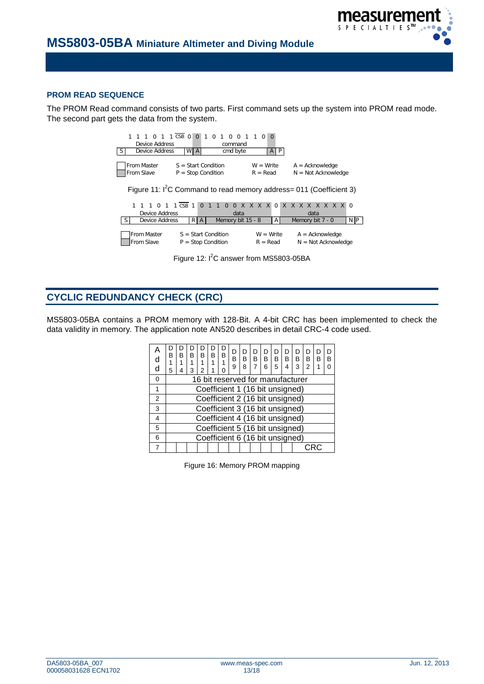

### **PROM READ SEQUENCE**

The PROM Read command consists of two parts. First command sets up the system into PROM read mode. The second part gets the data from the system.

|                                                                                                                                                       |                                                                                 | $\Omega$ |  |  | $1$ CSB $0$  |                        | $\Omega$             | $\mathbf{1}$ | 0 <sub>1</sub> |         | $0\quad 0$      |  |        |            | $\Omega$         |  |      |                       |  |  |  |  |     |
|-------------------------------------------------------------------------------------------------------------------------------------------------------|---------------------------------------------------------------------------------|----------|--|--|--------------|------------------------|----------------------|--------------|----------------|---------|-----------------|--|--------|------------|------------------|--|------|-----------------------|--|--|--|--|-----|
|                                                                                                                                                       | Device Address                                                                  |          |  |  |              |                        |                      |              |                | command |                 |  |        |            |                  |  |      |                       |  |  |  |  |     |
| Device Address<br>W.                                                                                                                                  |                                                                                 |          |  |  | $\mathsf{A}$ | cmd byte               |                      |              |                |         |                 |  | P<br>A |            |                  |  |      |                       |  |  |  |  |     |
| From Master<br>$S = Start Condition$<br>$W = Write$<br>$A = Acknowledge$                                                                              |                                                                                 |          |  |  |              |                        |                      |              |                |         |                 |  |        |            |                  |  |      |                       |  |  |  |  |     |
|                                                                                                                                                       | From Slave                                                                      |          |  |  |              |                        | $P = Stop Condition$ |              |                |         |                 |  |        | $R = Read$ |                  |  |      | $N = Not Acknowledge$ |  |  |  |  |     |
|                                                                                                                                                       | Figure 11: I <sup>2</sup> C Command to read memory address= 011 (Coefficient 3) |          |  |  |              |                        |                      |              |                |         |                 |  |        |            |                  |  |      |                       |  |  |  |  |     |
|                                                                                                                                                       |                                                                                 |          |  |  | 0 1 1 CSB 1  |                        | $\Omega$             | $\mathbf{1}$ | $\mathbf{1}$   |         | 0 0 X X X X 0 X |  |        |            |                  |  |      | x x x x x x x         |  |  |  |  | - 0 |
| Device Address                                                                                                                                        |                                                                                 |          |  |  |              | data                   |                      |              |                |         |                 |  |        |            |                  |  | data |                       |  |  |  |  |     |
| Device Address                                                                                                                                        |                                                                                 |          |  |  | R            | Memory bit 15 - 8<br>A |                      |              |                |         | A               |  |        |            | Memory bit 7 - 0 |  |      | N P                   |  |  |  |  |     |
| From Master<br>$S = Start Condition$<br>$W = Write$<br>$A = Acknowledge$<br>From Slave<br>$N = Not Acknowledge$<br>$P = Stop Condition$<br>$R = Read$ |                                                                                 |          |  |  |              |                        |                      |              |                |         |                 |  |        |            |                  |  |      |                       |  |  |  |  |     |
|                                                                                                                                                       | Figure 12: I <sup>2</sup> C answer from MS5803-05BA                             |          |  |  |              |                        |                      |              |                |         |                 |  |        |            |                  |  |      |                       |  |  |  |  |     |

# **CYCLIC REDUNDANCY CHECK (CRC)**

MS5803-05BA contains a PROM memory with 128-Bit. A 4-bit CRC has been implemented to check the data validity in memory. The application note AN520 describes in detail CRC-4 code used.

| d        | В<br>5                           | B                               | в<br>3 | B | в | в | D<br>B<br>9 | D<br>в<br>8 | D<br>в<br>7 | D<br>в<br>ี | ו ו<br>B<br>5 | D<br>B<br>4 | D<br>в<br>З | D<br>В<br>2 | D<br>R | D<br>R |
|----------|----------------------------------|---------------------------------|--------|---|---|---|-------------|-------------|-------------|-------------|---------------|-------------|-------------|-------------|--------|--------|
| $\Omega$ | 16 bit reserved for manufacturer |                                 |        |   |   |   |             |             |             |             |               |             |             |             |        |        |
| 1        | Coefficient 1 (16 bit unsigned)  |                                 |        |   |   |   |             |             |             |             |               |             |             |             |        |        |
| 2        | Coefficient 2 (16 bit unsigned)  |                                 |        |   |   |   |             |             |             |             |               |             |             |             |        |        |
| 3        | Coefficient 3 (16 bit unsigned)  |                                 |        |   |   |   |             |             |             |             |               |             |             |             |        |        |
| 4        | Coefficient 4 (16 bit unsigned)  |                                 |        |   |   |   |             |             |             |             |               |             |             |             |        |        |
| 5        | Coefficient 5 (16 bit unsigned)  |                                 |        |   |   |   |             |             |             |             |               |             |             |             |        |        |
| 6        |                                  | Coefficient 6 (16 bit unsigned) |        |   |   |   |             |             |             |             |               |             |             |             |        |        |
|          |                                  |                                 |        |   |   |   |             |             |             |             |               |             |             |             |        |        |

Figure 16: Memory PROM mapping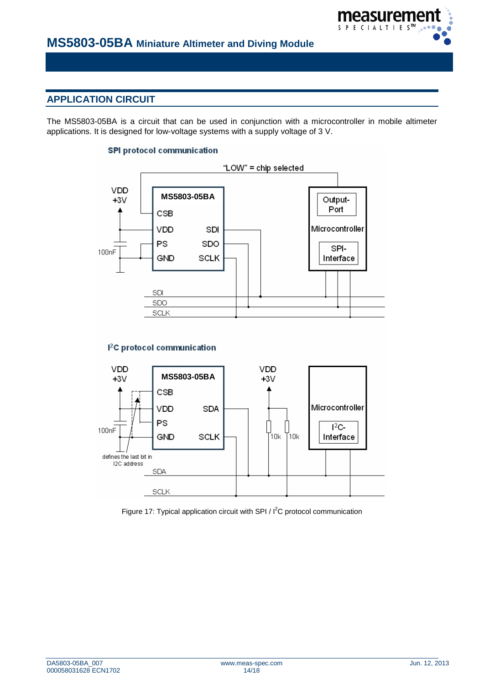

# **APPLICATION CIRCUIT**

The MS5803-05BA is a circuit that can be used in conjunction with a microcontroller in mobile altimeter applications. It is designed for low-voltage systems with a supply voltage of 3 V.

#### SPI protocol communication



#### <sup>2</sup>C protocol communication



Figure 17: Typical application circuit with SPI /  $I^2C$  protocol communication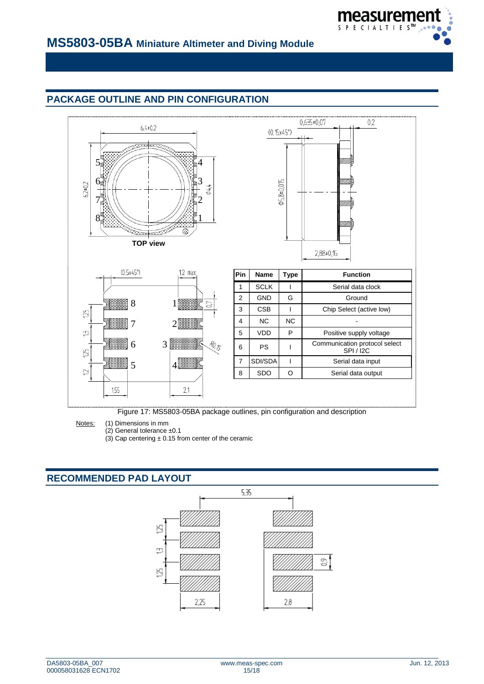

# **MS5803-05BA Miniature Altimeter and Diving Module**

# **PACKAGE OUTLINE AND PIN CONFIGURATION**



Figure 17: MS5803-05BA package outlines, pin configuration and description

Notes: (1) Dimensions in mm

 $(2)$  General tolerance  $±0.1$ 

(3) Cap centering  $\pm$  0.15 from center of the ceramic

# **RECOMMENDED PAD LAYOUT**

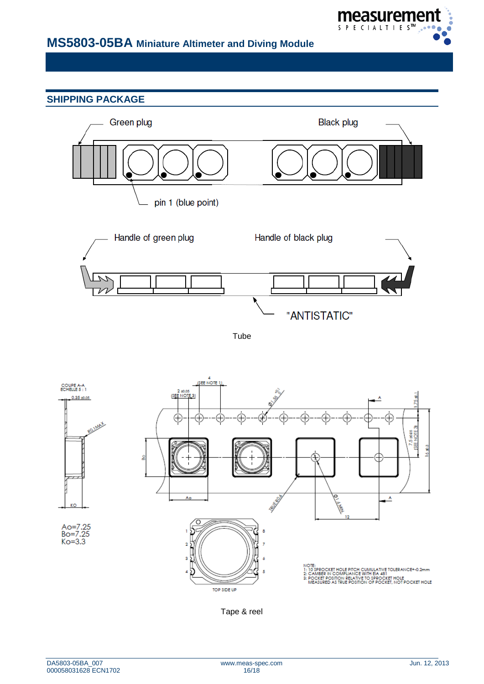

# **MS5803-05BA Miniature Altimeter and Diving Module**

# **SHIPPING PACKAGE**



Tube



Tape & reel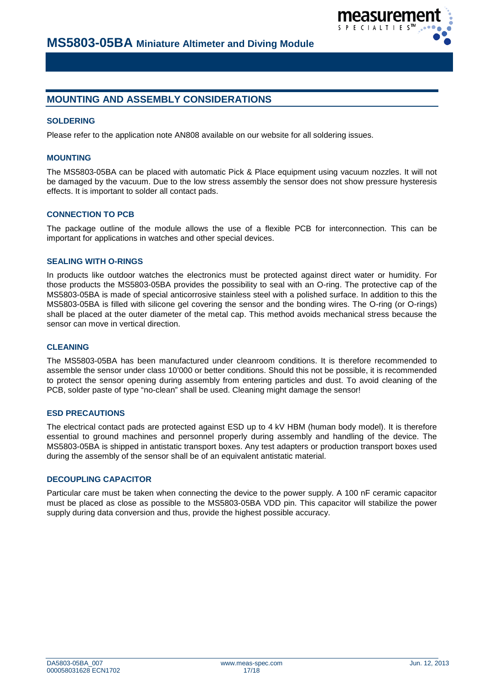

## **MOUNTING AND ASSEMBLY CONSIDERATIONS**

#### **SOLDERING**

Please refer to the application note AN808 available on our website for all soldering issues.

#### **MOUNTING**

The MS5803-05BA can be placed with automatic Pick & Place equipment using vacuum nozzles. It will not be damaged by the vacuum. Due to the low stress assembly the sensor does not show pressure hysteresis effects. It is important to solder all contact pads.

#### **CONNECTION TO PCB**

The package outline of the module allows the use of a flexible PCB for interconnection. This can be important for applications in watches and other special devices.

#### **SEALING WITH O-RINGS**

In products like outdoor watches the electronics must be protected against direct water or humidity. For those products the MS5803-05BA provides the possibility to seal with an O-ring. The protective cap of the MS5803-05BA is made of special anticorrosive stainless steel with a polished surface. In addition to this the MS5803-05BA is filled with silicone gel covering the sensor and the bonding wires. The O-ring (or O-rings) shall be placed at the outer diameter of the metal cap. This method avoids mechanical stress because the sensor can move in vertical direction.

#### **CLEANING**

The MS5803-05BA has been manufactured under cleanroom conditions. It is therefore recommended to assemble the sensor under class 10'000 or better conditions. Should this not be possible, it is recommended to protect the sensor opening during assembly from entering particles and dust. To avoid cleaning of the PCB, solder paste of type "no-clean" shall be used. Cleaning might damage the sensor!

#### **ESD PRECAUTIONS**

The electrical contact pads are protected against ESD up to 4 kV HBM (human body model). It is therefore essential to ground machines and personnel properly during assembly and handling of the device. The MS5803-05BA is shipped in antistatic transport boxes. Any test adapters or production transport boxes used during the assembly of the sensor shall be of an equivalent antistatic material.

#### **DECOUPLING CAPACITOR**

Particular care must be taken when connecting the device to the power supply. A 100 nF ceramic capacitor must be placed as close as possible to the MS5803-05BA VDD pin. This capacitor will stabilize the power supply during data conversion and thus, provide the highest possible accuracy.